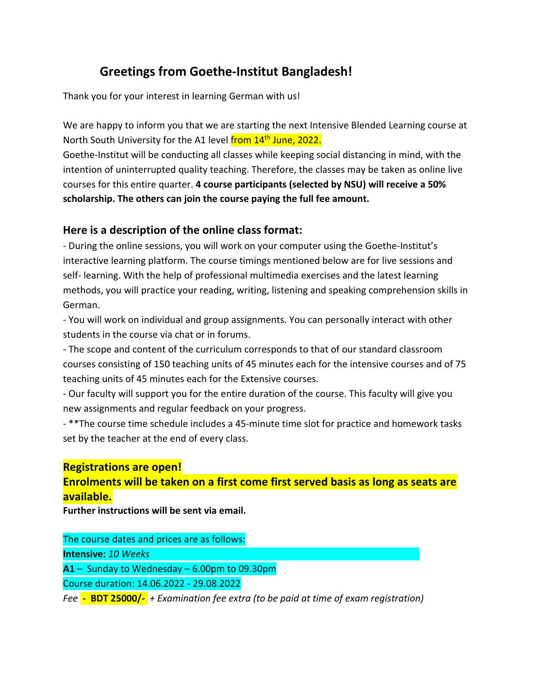# **Greetings from Goethe‐Institut Bangladesh!**

Thank you for your interest in learning German with us!

We are happy to inform you that we are starting the next Intensive Blended Learning course at North South University for the A1 level from 14<sup>th</sup> June, 2022.

Goethe‐Institut will be conducting all classes while keeping social distancing in mind, with the intention of uninterrupted quality teaching. Therefore, the classes may be taken as online live courses for this entire quarter. **4 course participants (selected by NSU) will receive a 50% scholarship. The others can join the course paying the full fee amount.**

## **Here is a description of the online class format:**

‐ During the online sessions, you will work on your computer using the Goethe‐Institut's interactive learning platform. The course timings mentioned below are for live sessions and self- learning. With the help of professional multimedia exercises and the latest learning methods, you will practice your reading, writing, listening and speaking comprehension skills in German.

‐ You will work on individual and group assignments. You can personally interact with other students in the course via chat or in forums.

‐ The scope and content of the curriculum corresponds to that of our standard classroom courses consisting of 150 teaching units of 45 minutes each for the intensive courses and of 75 teaching units of 45 minutes each for the Extensive courses.

‐ Our faculty will support you for the entire duration of the course. This faculty will give you new assignments and regular feedback on your progress.

- \*\*The course time schedule includes a 45-minute time slot for practice and homework tasks set by the teacher at the end of every class.

## **Registrations are open!**

## **Enrolments will be taken on a first come first served basis as long as seats are available.**

**Further instructions will be sent via email.**

The course dates and prices are as follows: **Intensive:** *10 Weeks* 

**A1** – Sunday to Wednesday – 6.00pm to 09.30pm

Course duration: 14.06.2022 - 29.08.2022

*Fee ‐* **BDT 25000/‐** *+ Examination fee extra (to be paid at time of exam registration)*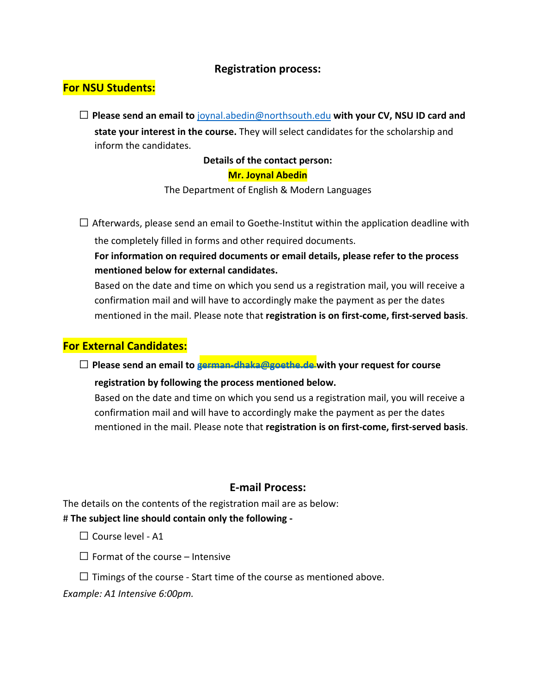### **Registration process:**

## **For NSU Students:**

 **Please send an email to** [joynal.abedin@northsouth.edu](mailto:joynal.abedin@northsouth.edu) **with your CV, NSU ID card and state your interest in the course.** They will select candidates for the scholarship and inform the candidates.

### **Details of the contact person:**

#### **Mr. Joynal Abedin**

The Department of English & Modern Languages

 $\Box$  Afterwards, please send an email to Goethe-Institut within the application deadline with the completely filled in forms and other required documents.

**For information on required documents or email details, please refer to the process mentioned below for external candidates.**

Based on the date and time on which you send us a registration mail, you will receive a confirmation mail and will have to accordingly make the payment as per the dates mentioned in the mail. Please note that **registration is on first‐come, first‐served basis**.

### **For External Candidates:**

**Please send an email to [german-dhaka@goethe.de with your request for course](mailto:german-dhaka@goethe.de)**

#### **registration by following the process mentioned below.**

Based on the date and time on which you send us a registration mail, you will receive a confirmation mail and will have to accordingly make the payment as per the dates mentioned in the mail. Please note that **registration is on first‐come, first‐served basis**.

### **E-mail Process:**

The details on the contents of the registration mail are as below: # **The subject line should contain only the following ‐**

- $\Box$  Course level A1
- $\Box$  Format of the course Intensive
- $\Box$  Timings of the course Start time of the course as mentioned above.

*Example: A1 Intensive 6:00pm.*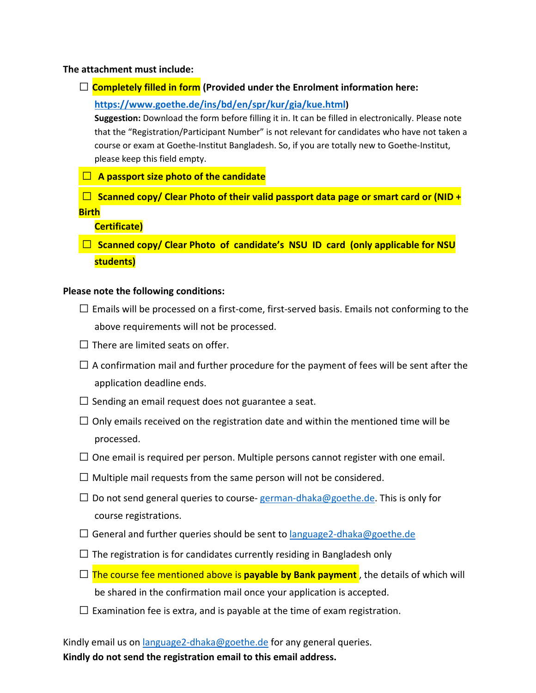#### **The attachment must include:**

**Completely filled in form (Provided under the Enrolment information here:**

**[https://www.goethe.de/ins/bd/en/spr/kur/gia/kue.html\)](https://www.goethe.de/ins/bd/en/spr/kur/gia/kue.html)**

**Suggestion:** Download the form before filling it in. It can be filled in electronically. Please note that the "Registration/Participant Number" is not relevant for candidates who have not taken a course or exam at Goethe-Institut Bangladesh. So, if you are totally new to Goethe-Institut, please keep this field empty.

- **A passport size photo of the candidate**
- **Scanned copy/ Clear Photo of their valid passport data page or smart card or (NID + Birth**

#### **Certificate)**

 **Scanned copy/ Clear Photo of candidate's NSU ID card (only applicable for NSU students)**

#### **Please note the following conditions:**

- $\square$  Emails will be processed on a first-come, first-served basis. Emails not conforming to the above requirements will not be processed.
- $\Box$  There are limited seats on offer.
- $\Box$  A confirmation mail and further procedure for the payment of fees will be sent after the application deadline ends.
- $\Box$  Sending an email request does not guarantee a seat.
- $\Box$  Only emails received on the registration date and within the mentioned time will be processed.
- $\Box$  One email is required per person. Multiple persons cannot register with one email.
- $\Box$  Multiple mail requests from the same person will not be considered.
- $□$  Do not send general queries to course-german-dhaka@goethe.de. This is only for course registrations.
- $\Box$  General and further queries should be sent to [language2-dhaka@goethe.de](mailto:language2-dhaka@goethe.de)
- $\Box$  The registration is for candidates currently residing in Bangladesh only
- $\Box$  The course fee mentioned above is **payable by Bank payment**, the details of which will be shared in the confirmation mail once your application is accepted.
- $\Box$  Examination fee is extra, and is payable at the time of exam registration.

Kindly email us on [language2-dhaka@goethe.de](mailto:language2-dhaka@goethe.de) for any general queries. **Kindly do not send the registration email to this email address.**